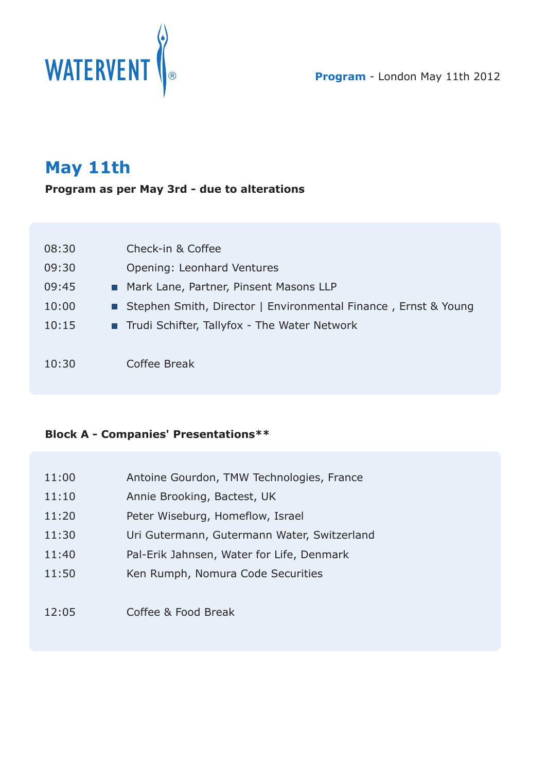

## **May 11th**

**Program as per May 3rd - due to alterations**

| 08:30 | Check-in & Coffee                                                |
|-------|------------------------------------------------------------------|
| 09:30 | Opening: Leonhard Ventures                                       |
| 09:45 | Mark Lane, Partner, Pinsent Masons LLP                           |
| 10:00 | ■ Stephen Smith, Director   Environmental Finance, Ernst & Young |
| 10:15 | Trudi Schifter, Tallyfox - The Water Network                     |
|       |                                                                  |
| 10:30 | Coffee Break                                                     |

## **Block A - Companies' Presentations\*\***

| 11:00 | Antoine Gourdon, TMW Technologies, France   |
|-------|---------------------------------------------|
| 11:10 | Annie Brooking, Bactest, UK                 |
| 11:20 | Peter Wiseburg, Homeflow, Israel            |
| 11:30 | Uri Gutermann, Gutermann Water, Switzerland |
| 11:40 | Pal-Erik Jahnsen, Water for Life, Denmark   |
| 11:50 | Ken Rumph, Nomura Code Securities           |
|       |                                             |
| 12:05 | Coffee & Food Break                         |